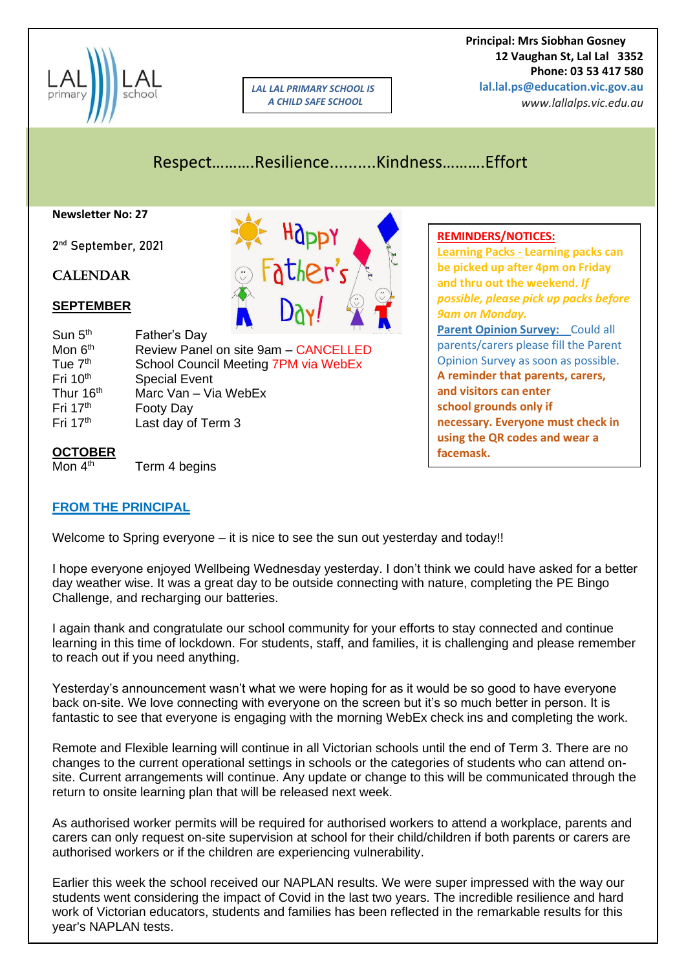

*LAL LAL PRIMARY SCHOOL IS A CHILD SAFE SCHOOL*

 **Principal: Mrs Siobhan Gosney 12 Vaughan St, Lal Lal 3352 Phone: 03 53 417 580 lal.lal.ps@education.vic.gov.au**

**REMINDERS/NOTICES:** 

*9am on Monday.*

**and visitors can enter school grounds only if** 

**facemask.**

**Learning Packs - Learning packs can be picked up after 4pm on Friday and thru out the weekend.** *If* 

*possible, please pick up packs before* 

**Parent Opinion Survey:** Could all parents/carers please fill the Parent Opinion Survey as soon as possible. **A reminder that parents, carers,** 

**necessary. Everyone must check in using the QR codes and wear a** 

*www.lallalps.vic.edu.au* 

Respect……….Resilience..........Kindness……….Effort

#### **Newsletter No: 27**

2<sup>nd</sup> September, 2021

## **CALENDAR**

#### **SEPTEMBER**

| Sun $5th$             |                                      |
|-----------------------|--------------------------------------|
|                       | Father's Day                         |
| Mon 6 <sup>th</sup>   | Review Panel on site 9am - CANCELLED |
| Tue 7 <sup>th</sup>   | School Council Meeting 7PM via WebEx |
| Fri 10 <sup>th</sup>  | <b>Special Event</b>                 |
| Thur 16 <sup>th</sup> | Marc Van - Via WebEx                 |
| Fri 17th              | <b>Footy Day</b>                     |
| Fri $17th$            | Last day of Term 3                   |

**OCTOBER**

Mon  $4<sup>th</sup>$  Term 4 begins

## **FROM THE PRINCIPAL**

Welcome to Spring everyone – it is nice to see the sun out yesterday and today!!

I hope everyone enjoyed Wellbeing Wednesday yesterday. I don't think we could have asked for a better day weather wise. It was a great day to be outside connecting with nature, completing the PE Bingo Challenge, and recharging our batteries.

I again thank and congratulate our school community for your efforts to stay connected and continue learning in this time of lockdown. For students, staff, and families, it is challenging and please remember to reach out if you need anything.

Yesterday's announcement wasn't what we were hoping for as it would be so good to have everyone back on-site. We love connecting with everyone on the screen but it's so much better in person. It is fantastic to see that everyone is engaging with the morning WebEx check ins and completing the work.

Remote and Flexible learning will continue in all Victorian schools until the end of Term 3. There are no changes to the current operational settings in schools or the categories of students who can attend onsite. Current arrangements will continue. Any update or change to this will be communicated through the return to onsite learning plan that will be released next week.

As authorised worker permits will be required for authorised workers to attend a workplace, parents and carers can only request on-site supervision at school for their child/children if both parents or carers are authorised workers or if the children are experiencing vulnerability.

Earlier this week the school received our NAPLAN results. We were super impressed with the way our students went considering the impact of Covid in the last two years. The incredible resilience and hard work of Victorian educators, students and families has been reflected in the remarkable results for this year's NAPLAN tests.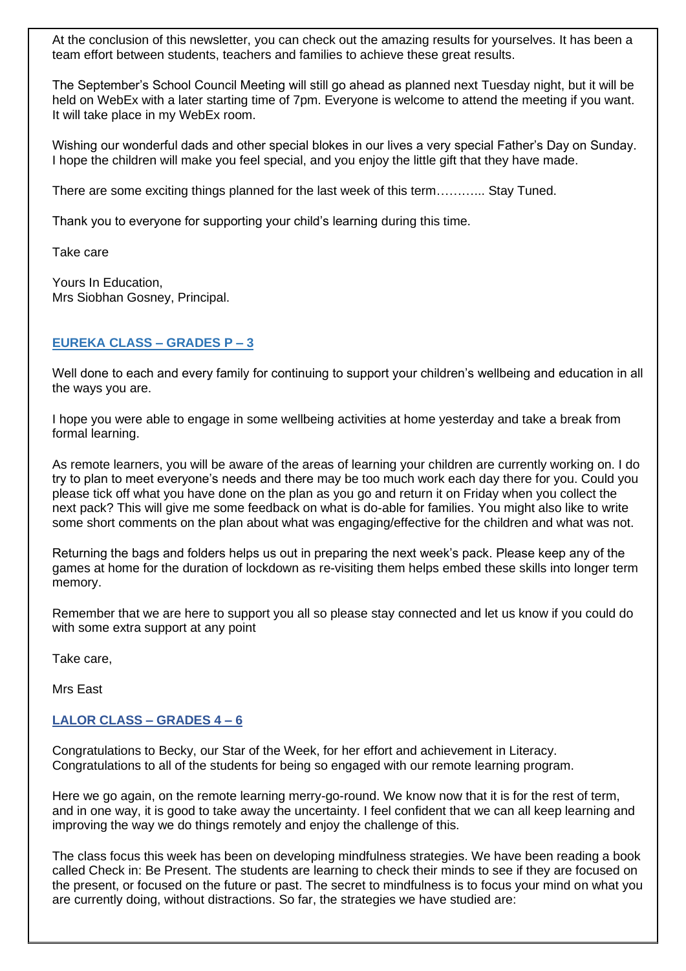At the conclusion of this newsletter, you can check out the amazing results for yourselves. It has been a team effort between students, teachers and families to achieve these great results.

The September's School Council Meeting will still go ahead as planned next Tuesday night, but it will be held on WebEx with a later starting time of 7pm. Everyone is welcome to attend the meeting if you want. It will take place in my WebEx room.

Wishing our wonderful dads and other special blokes in our lives a very special Father's Day on Sunday. I hope the children will make you feel special, and you enjoy the little gift that they have made.

There are some exciting things planned for the last week of this term………... Stay Tuned.

Thank you to everyone for supporting your child's learning during this time.

Take care

Yours In Education, Mrs Siobhan Gosney, Principal.

#### **EUREKA CLASS – GRADES P – 3**

Well done to each and every family for continuing to support your children's wellbeing and education in all the ways you are.

I hope you were able to engage in some wellbeing activities at home yesterday and take a break from formal learning.

As remote learners, you will be aware of the areas of learning your children are currently working on. I do try to plan to meet everyone's needs and there may be too much work each day there for you. Could you please tick off what you have done on the plan as you go and return it on Friday when you collect the next pack? This will give me some feedback on what is do-able for families. You might also like to write some short comments on the plan about what was engaging/effective for the children and what was not.

Returning the bags and folders helps us out in preparing the next week's pack. Please keep any of the games at home for the duration of lockdown as re-visiting them helps embed these skills into longer term memory.

Remember that we are here to support you all so please stay connected and let us know if you could do with some extra support at any point

Take care,

Mrs East

#### **LALOR CLASS – GRADES 4 – 6**

Congratulations to Becky, our Star of the Week, for her effort and achievement in Literacy. Congratulations to all of the students for being so engaged with our remote learning program.

Here we go again, on the remote learning merry-go-round. We know now that it is for the rest of term, and in one way, it is good to take away the uncertainty. I feel confident that we can all keep learning and improving the way we do things remotely and enjoy the challenge of this.

The class focus this week has been on developing mindfulness strategies. We have been reading a book called Check in: Be Present. The students are learning to check their minds to see if they are focused on the present, or focused on the future or past. The secret to mindfulness is to focus your mind on what you are currently doing, without distractions. So far, the strategies we have studied are: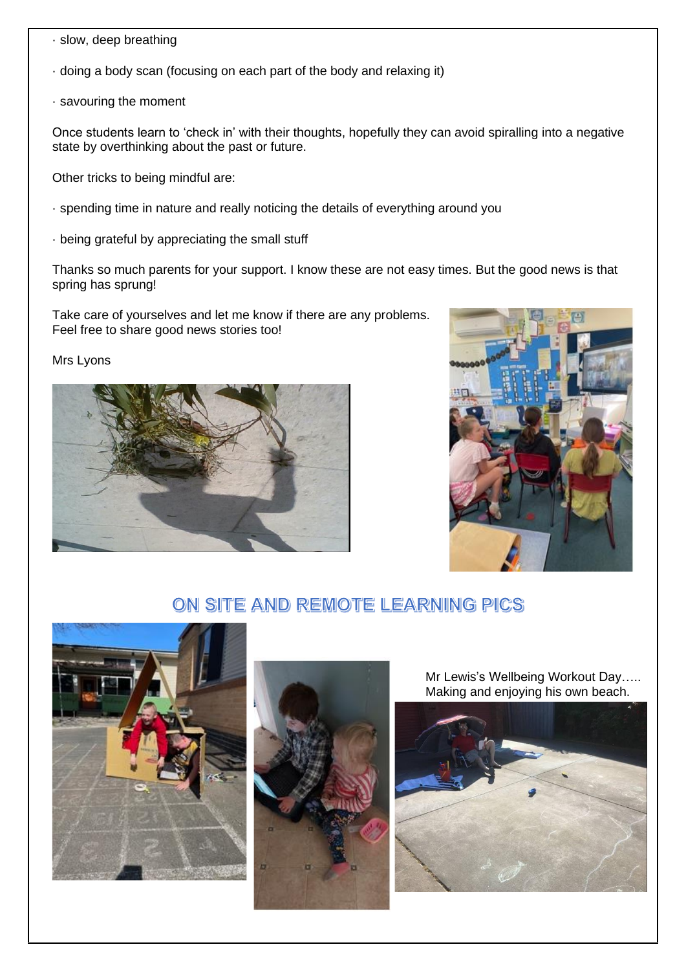- · slow, deep breathing
- · doing a body scan (focusing on each part of the body and relaxing it)
- · savouring the moment

Once students learn to 'check in' with their thoughts, hopefully they can avoid spiralling into a negative state by overthinking about the past or future.

Other tricks to being mindful are:

- · spending time in nature and really noticing the details of everything around you
- · being grateful by appreciating the small stuff

Thanks so much parents for your support. I know these are not easy times. But the good news is that spring has sprung!

Take care of yourselves and let me know if there are any problems. Feel free to share good news stories too!

Mrs Lyons





## ON SITE AND REMOTE LEARNING PICS





Mr Lewis's Wellbeing Workout Day….. Making and enjoying his own beach.

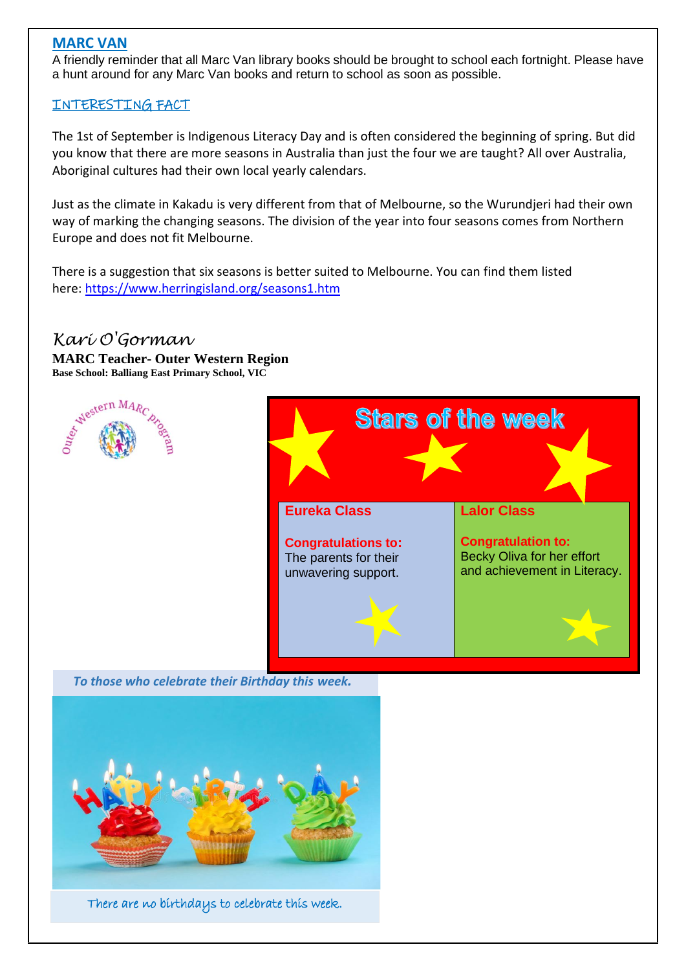### **MARC VAN**

A friendly reminder that all Marc Van library books should be brought to school each fortnight. Please have a hunt around for any Marc Van books and return to school as soon as possible.

## INTERESTING FACT

The 1st of September is Indigenous Literacy Day and is often considered the beginning of spring. But did you know that there are more seasons in Australia than just the four we are taught? All over Australia, Aboriginal cultures had their own local yearly calendars.

Just as the climate in Kakadu is very different from that of Melbourne, so the Wurundjeri had their own way of marking the changing seasons. The division of the year into four seasons comes from Northern Europe and does not fit Melbourne.

There is a suggestion that six seasons is better suited to Melbourne. You can find them listed here: [https://www.herringisland.org/seasons1.htm](https://aus01.safelinks.protection.outlook.com/?url=https%3A%2F%2Fwww.herringisland.org%2Fseasons1.htm&data=04%7C01%7CFrances.Mifsud%40education.vic.gov.au%7C6e17f12f6d0044abe6b008d96b4b2e35%7Cd96cb3371a8744cfb69b3cec334a4c1f%7C0%7C0%7C637658792902922298%7CUnknown%7CTWFpbGZsb3d8eyJWIjoiMC4wLjAwMDAiLCJQIjoiV2luMzIiLCJBTiI6Ik1haWwiLCJXVCI6Mn0%3D%7C1000&sdata=vuXb1N1DshZyeIeIProp2%2BD16h2ek0RdVuVQrqATQx4%3D&reserved=0)

### *Kari O'Gorman* **MARC Teacher- Outer Western Region Base School: Balliang East Primary School, VIC**





 *To those who celebrate their Birthday this week.*

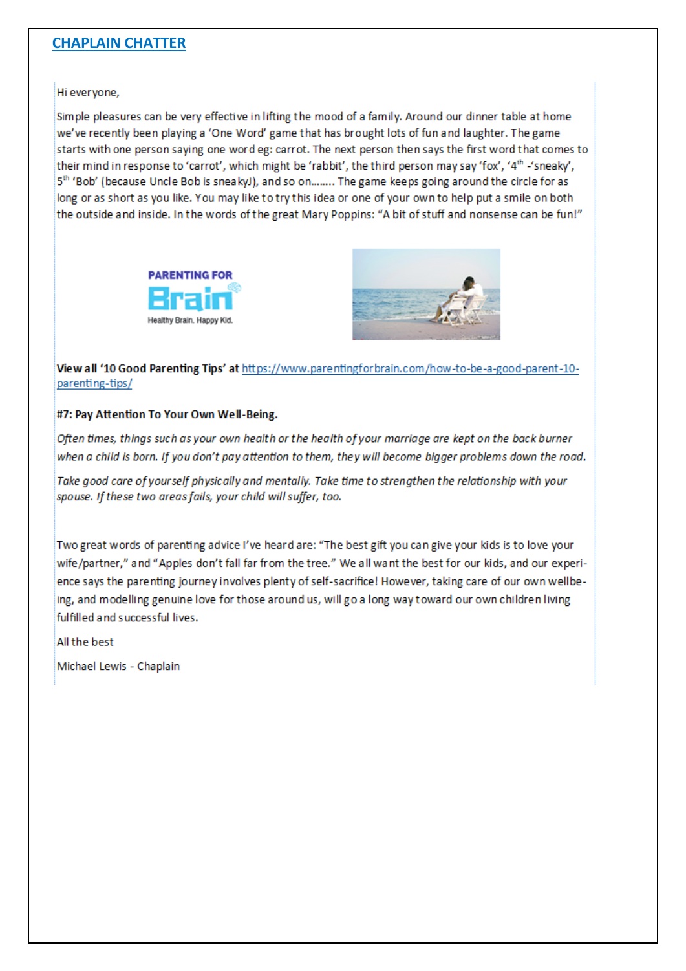## **CHAPLAIN CHATTER**

Hi everyone,

Simple pleasures can be very effective in lifting the mood of a family. Around our dinner table at home we've recently been playing a 'One Word' game that has brought lots of fun and laughter. The game starts with one person saying one word eg: carrot. The next person then says the first word that comes to their mind in response to 'carrot', which might be 'rabbit', the third person may say 'fox', '4th -'sneaky', 5th 'Bob' (because Uncle Bob is sneakyJ), and so on........ The game keeps going around the circle for as long or as short as you like. You may like to try this idea or one of your own to help put a smile on both the outside and inside. In the words of the great Mary Poppins: "A bit of stuff and nonsense can be fun!"





View all '10 Good Parenting Tips' at https://www.parentingforbrain.com/how-to-be-a-good-parent-10parenting-tips/

#### #7: Pay Attention To Your Own Well-Being.

Often times, things such as your own health or the health of your marriage are kept on the back burner when a child is born. If you don't pay attention to them, they will become bigger problems down the road.

Take good care of yourself physically and mentally. Take time to strengthen the relationship with your spouse. If these two areas fails, your child will suffer, too.

Two great words of parenting advice I've heard are: "The best gift you can give your kids is to love your wife/partner," and "Apples don't fall far from the tree." We all want the best for our kids, and our experience says the parenting journey involves plenty of self-sacrifice! However, taking care of our own wellbeing, and modelling genuine love for those around us, will go a long way toward our own children living fulfilled and successful lives.

All the best

Michael Lewis - Chaplain